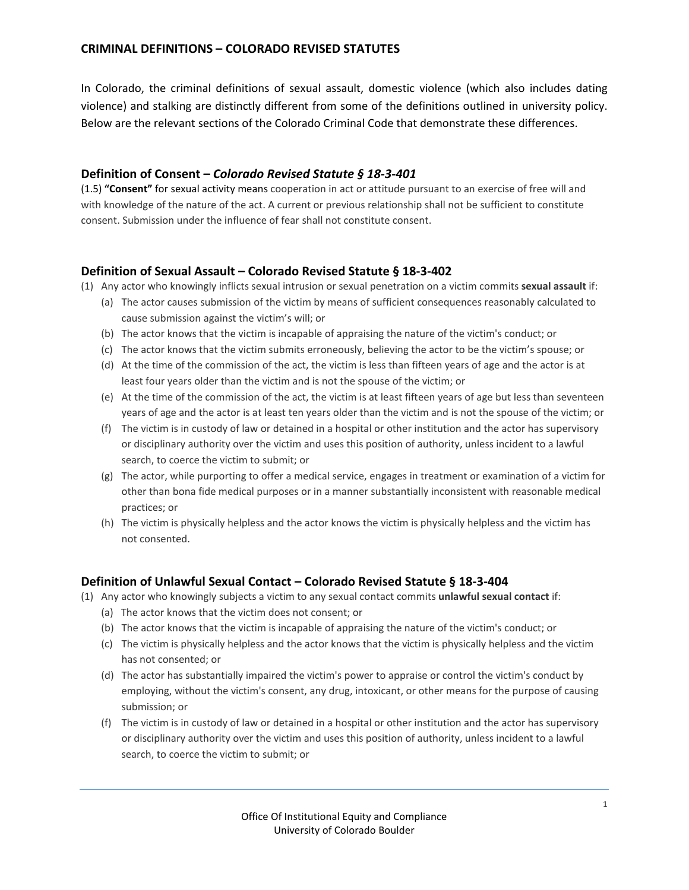# **CRIMINAL DEFINITIONS – COLORADO REVISED STATUTES**

In Colorado, the criminal definitions of sexual assault, domestic violence (which also includes dating violence) and stalking are distinctly different from some of the definitions outlined in university policy. Below are the relevant sections of the Colorado Criminal Code that demonstrate these differences.

#### **Definition of Consent –** *Colorado Revised Statute § 18-3-401*

(1.5) **"Consent"** for sexual activity means cooperation in act or attitude pursuant to an exercise of free will and with knowledge of the nature of the act. A current or previous relationship shall not be sufficient to constitute consent. Submission under the influence of fear shall not constitute consent.

### **Definition of Sexual Assault – Colorado Revised Statute § 18-3-402**

(1) Any actor who knowingly inflicts sexual intrusion or sexual penetration on a victim commits **sexual assault** if:

- (a) The actor causes submission of the victim by means of sufficient consequences reasonably calculated to cause submission against the victim's will; or
- (b) The actor knows that the victim is incapable of appraising the nature of the victim's conduct; or
- (c) The actor knows that the victim submits erroneously, believing the actor to be the victim's spouse; or
- (d) At the time of the commission of the act, the victim is less than fifteen years of age and the actor is at least four years older than the victim and is not the spouse of the victim; or
- (e) At the time of the commission of the act, the victim is at least fifteen years of age but less than seventeen years of age and the actor is at least ten years older than the victim and is not the spouse of the victim; or
- (f) The victim is in custody of law or detained in a hospital or other institution and the actor has supervisory or disciplinary authority over the victim and uses this position of authority, unless incident to a lawful search, to coerce the victim to submit; or
- (g) The actor, while purporting to offer a medical service, engages in treatment or examination of a victim for other than bona fide medical purposes or in a manner substantially inconsistent with reasonable medical practices; or
- (h) The victim is physically helpless and the actor knows the victim is physically helpless and the victim has not consented.

### **Definition of Unlawful Sexual Contact – Colorado Revised Statute § 18-3-404**

- (1) Any actor who knowingly subjects a victim to any sexual contact commits **unlawful sexual contact** if:
	- (a) The actor knows that the victim does not consent; or
	- (b) The actor knows that the victim is incapable of appraising the nature of the victim's conduct; or
	- (c) The victim is physically helpless and the actor knows that the victim is physically helpless and the victim has not consented; or
	- (d) The actor has substantially impaired the victim's power to appraise or control the victim's conduct by employing, without the victim's consent, any drug, intoxicant, or other means for the purpose of causing submission; or
	- (f) The victim is in custody of law or detained in a hospital or other institution and the actor has supervisory or disciplinary authority over the victim and uses this position of authority, unless incident to a lawful search, to coerce the victim to submit; or